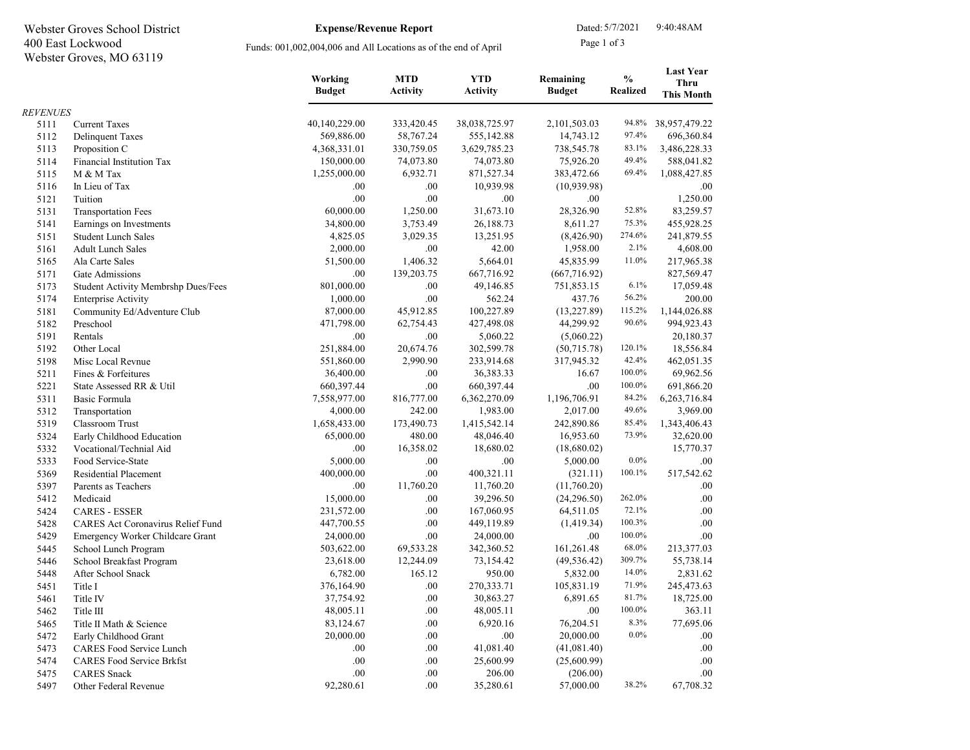| Page 1 of 3<br>400 East Lockwood<br>Funds: 001,002,004,006 and All Locations as of the end of April<br>Webster Groves, MO 63119<br><b>Last Year</b><br>$\frac{0}{0}$<br><b>MTD</b><br><b>YTD</b><br>Working<br>Remaining<br><b>Thru</b><br><b>Budget</b><br><b>Activity</b><br><b>Activity</b><br><b>Budget</b><br><b>Realized</b><br><b>This Month</b><br><b>REVENUES</b><br>40,140,229.00<br>333,420.45<br>38,038,725.97<br>94.8%<br>38,957,479.22<br>5111<br><b>Current Taxes</b><br>2,101,503.03<br>97.4%<br>569,886.00<br>58,767.24<br>555,142.88<br>696,360.84<br>5112<br><b>Delinquent Taxes</b><br>14,743.12<br>330,759.05<br>3,629,785.23<br>738,545.78<br>83.1%<br>3,486,228.33<br>5113<br>4,368,331.01<br>Proposition C<br>150,000.00<br>74,073.80<br>74,073.80<br>49.4%<br>588,041.82<br>5114<br>Financial Institution Tax<br>75,926.20<br>69.4%<br>6,932.71<br>871,527.34<br>383,472.66<br>1,088,427.85<br>5115<br>M & M Tax<br>1,255,000.00<br>10,939.98<br>(10,939.98)<br>5116<br>In Lieu of Tax<br>.00.<br>.00<br>.00.<br>.00<br>.00<br>.00<br>1,250.00<br>5121<br>Tuition<br>.00.<br>52.8%<br>60,000.00<br>1,250.00<br>31,673.10<br>83,259.57<br>5131<br><b>Transportation Fees</b><br>28,326.90<br>8,611.27<br>75.3%<br>5141<br>Earnings on Investments<br>34,800.00<br>3,753.49<br>26,188.73<br>455,928.25<br>274.6%<br>4,825.05<br>3,029.35<br>13,251.95<br>(8,426.90)<br>241,879.55<br>5151<br><b>Student Lunch Sales</b><br>2.1%<br>2,000.00<br>.00.<br>42.00<br>1,958.00<br>4,608.00<br>5161<br><b>Adult Lunch Sales</b><br>11.0%<br>5,664.01<br>45,835.99<br>5165<br>Ala Carte Sales<br>51,500.00<br>1,406.32<br>217,965.38<br>139,203.75<br>667,716.92<br>5171<br>Gate Admissions<br>.00<br>(667, 716.92)<br>827,569.47<br>801,000.00<br>.00<br>17,059.48<br>5173<br>49,146.85<br>751,853.15<br>6.1%<br>Student Activity Membrshp Dues/Fees<br>56.2%<br>5174<br>1,000.00<br>.00<br>562.24<br>437.76<br>200.00<br><b>Enterprise Activity</b><br>100,227.89<br>115.2%<br>5181<br>87,000.00<br>45,912.85<br>(13, 227.89)<br>1,144,026.88<br>Community Ed/Adventure Club<br>90.6%<br>5182<br>471,798.00<br>62,754.43<br>427,498.08<br>44,299.92<br>994,923.43<br>Preschool<br>5191<br>.00<br>.00.<br>5,060.22<br>20,180.37<br>Rentals<br>(5,060.22)<br>5192<br>251,884.00<br>302,599.78<br>120.1%<br>Other Local<br>20,674.76<br>(50,715.78)<br>18,556.84<br>42.4%<br>5198<br>551,860.00<br>2,990.90<br>233,914.68<br>462,051.35<br>Misc Local Revnue<br>317,945.32<br>100.0%<br>5211<br>36,400.00<br>.00<br>36,383.33<br>69,962.56<br>16.67<br>Fines & Forfeitures<br>100.0%<br>660,397.44<br>.00<br>660,397.44<br>691,866.20<br>5221<br>State Assessed RR & Util<br>.00.<br>84.2%<br>816,777.00<br>1,196,706.91<br>5311<br>Basic Formula<br>7,558,977.00<br>6,362,270.09<br>6,263,716.84<br>4,000.00<br>242.00<br>1,983.00<br>49.6%<br>3,969.00<br>5312<br>2,017.00<br>Transportation<br>85.4%<br>5319<br>173,490.73<br>1,415,542.14<br>1,343,406.43<br>Classroom Trust<br>1,658,433.00<br>242,890.86<br>73.9%<br>65,000.00<br>480.00<br>16,953.60<br>32,620.00<br>5324<br>48,046.40<br>Early Childhood Education<br>.00<br>16,358.02<br>18,680.02<br>15,770.37<br>5332<br>Vocational/Technial Aid<br>(18,680.02)<br>$0.0\%$<br>5,000.00<br>.00<br>5333<br>Food Service-State<br>.00<br>5,000.00<br>.00.<br>400,000.00<br>.00<br>400,321.11<br>100.1%<br>517,542.62<br>5369<br>(321.11)<br>Residential Placement<br>5397<br>.00.<br>11,760.20<br>11,760.20<br>(11,760.20)<br>Parents as Teachers<br>.00.<br>262.0%<br>5412<br>15,000.00<br>.00<br>39,296.50<br>(24, 296.50)<br>.00.<br>Medicaid<br>72.1%<br>.00.<br>5424<br><b>CARES - ESSER</b><br>231,572.00<br>.00<br>167,060.95<br>64,511.05<br>100.3%<br>.00<br>.00<br>5428<br>CARES Act Coronavirus Relief Fund<br>447,700.55<br>449,119.89<br>(1,419.34)<br>.00<br>24,000.00<br>100.0%<br>.00<br>5429<br>24,000.00<br>.00.<br>Emergency Worker Childcare Grant<br>68.0%<br>503,622.00<br>342,360.52<br>213,377.03<br>5445<br>School Lunch Program<br>69,533.28<br>161,261.48<br>309.7%<br>55,738.14<br>5446<br>23,618.00<br>12,244.09<br>73,154.42<br>(49, 536.42)<br>School Breakfast Program<br>14.0%<br>5448<br>6,782.00<br>165.12<br>950.00<br>5,832.00<br>2,831.62<br>After School Snack<br>71.9%<br>376,164.90<br>.00.<br>270,333.71<br>105,831.19<br>245,473.63<br>5451<br>Title I<br>37,754.92<br>.00.<br>6,891.65<br>81.7%<br>18,725.00<br>5461<br>Title IV<br>30,863.27<br>100.0%<br>363.11<br>48,005.11<br>.00.<br>48,005.11<br>.00.<br>5462<br>Title III<br>8.3%<br>77,695.06<br>83,124.67<br>.00.<br>6,920.16<br>76,204.51<br>5465<br>Title II Math & Science<br>$0.0\%$<br>20,000.00<br>.00.<br>20,000.00<br>5472<br>Early Childhood Grant<br>.00<br>.00.<br>.00.<br>41,081.40<br>5473<br><b>CARES Food Service Lunch</b><br>.00.<br>(41,081.40)<br>.00.<br>.00<br>.00.<br>5474<br><b>CARES Food Service Brkfst</b><br>.00.<br>25,600.99<br>(25,600.99)<br>.00.<br>.00.<br>5475<br><b>CARES</b> Snack<br>206.00<br>(206.00)<br>.00.<br>92,280.61<br>.00.<br>38.2%<br>5497<br>35,280.61<br>57,000.00<br>67,708.32<br>Other Federal Revenue | Webster Groves School District |  | <b>Expense/Revenue Report</b> | Dated: 5/7/2021 |  | 9:40:48AM |  |
|---------------------------------------------------------------------------------------------------------------------------------------------------------------------------------------------------------------------------------------------------------------------------------------------------------------------------------------------------------------------------------------------------------------------------------------------------------------------------------------------------------------------------------------------------------------------------------------------------------------------------------------------------------------------------------------------------------------------------------------------------------------------------------------------------------------------------------------------------------------------------------------------------------------------------------------------------------------------------------------------------------------------------------------------------------------------------------------------------------------------------------------------------------------------------------------------------------------------------------------------------------------------------------------------------------------------------------------------------------------------------------------------------------------------------------------------------------------------------------------------------------------------------------------------------------------------------------------------------------------------------------------------------------------------------------------------------------------------------------------------------------------------------------------------------------------------------------------------------------------------------------------------------------------------------------------------------------------------------------------------------------------------------------------------------------------------------------------------------------------------------------------------------------------------------------------------------------------------------------------------------------------------------------------------------------------------------------------------------------------------------------------------------------------------------------------------------------------------------------------------------------------------------------------------------------------------------------------------------------------------------------------------------------------------------------------------------------------------------------------------------------------------------------------------------------------------------------------------------------------------------------------------------------------------------------------------------------------------------------------------------------------------------------------------------------------------------------------------------------------------------------------------------------------------------------------------------------------------------------------------------------------------------------------------------------------------------------------------------------------------------------------------------------------------------------------------------------------------------------------------------------------------------------------------------------------------------------------------------------------------------------------------------------------------------------------------------------------------------------------------------------------------------------------------------------------------------------------------------------------------------------------------------------------------------------------------------------------------------------------------------------------------------------------------------------------------------------------------------------------------------------------------------------------------------------------------------------------------------------------------------------------------------------------------------------------------------------------------------------------------------------------------------------------------------------------------------------------------------------------------------------------------------------------------------------------------------------------------------------------------------------------------------------------------------------------------------------------------------------------------------------------------------------------------------------------------------------------------------------------------------------------------------------------------------------------------------------------------------------------------------------------------------------------------------------------------------------------------------------------------------------------|--------------------------------|--|-------------------------------|-----------------|--|-----------|--|
|                                                                                                                                                                                                                                                                                                                                                                                                                                                                                                                                                                                                                                                                                                                                                                                                                                                                                                                                                                                                                                                                                                                                                                                                                                                                                                                                                                                                                                                                                                                                                                                                                                                                                                                                                                                                                                                                                                                                                                                                                                                                                                                                                                                                                                                                                                                                                                                                                                                                                                                                                                                                                                                                                                                                                                                                                                                                                                                                                                                                                                                                                                                                                                                                                                                                                                                                                                                                                                                                                                                                                                                                                                                                                                                                                                                                                                                                                                                                                                                                                                                                                                                                                                                                                                                                                                                                                                                                                                                                                                                                                                                                                                                                                                                                                                                                                                                                                                                                                                                                                                                                                                                                       |                                |  |                               |                 |  |           |  |
|                                                                                                                                                                                                                                                                                                                                                                                                                                                                                                                                                                                                                                                                                                                                                                                                                                                                                                                                                                                                                                                                                                                                                                                                                                                                                                                                                                                                                                                                                                                                                                                                                                                                                                                                                                                                                                                                                                                                                                                                                                                                                                                                                                                                                                                                                                                                                                                                                                                                                                                                                                                                                                                                                                                                                                                                                                                                                                                                                                                                                                                                                                                                                                                                                                                                                                                                                                                                                                                                                                                                                                                                                                                                                                                                                                                                                                                                                                                                                                                                                                                                                                                                                                                                                                                                                                                                                                                                                                                                                                                                                                                                                                                                                                                                                                                                                                                                                                                                                                                                                                                                                                                                       |                                |  |                               |                 |  |           |  |
|                                                                                                                                                                                                                                                                                                                                                                                                                                                                                                                                                                                                                                                                                                                                                                                                                                                                                                                                                                                                                                                                                                                                                                                                                                                                                                                                                                                                                                                                                                                                                                                                                                                                                                                                                                                                                                                                                                                                                                                                                                                                                                                                                                                                                                                                                                                                                                                                                                                                                                                                                                                                                                                                                                                                                                                                                                                                                                                                                                                                                                                                                                                                                                                                                                                                                                                                                                                                                                                                                                                                                                                                                                                                                                                                                                                                                                                                                                                                                                                                                                                                                                                                                                                                                                                                                                                                                                                                                                                                                                                                                                                                                                                                                                                                                                                                                                                                                                                                                                                                                                                                                                                                       |                                |  |                               |                 |  |           |  |
|                                                                                                                                                                                                                                                                                                                                                                                                                                                                                                                                                                                                                                                                                                                                                                                                                                                                                                                                                                                                                                                                                                                                                                                                                                                                                                                                                                                                                                                                                                                                                                                                                                                                                                                                                                                                                                                                                                                                                                                                                                                                                                                                                                                                                                                                                                                                                                                                                                                                                                                                                                                                                                                                                                                                                                                                                                                                                                                                                                                                                                                                                                                                                                                                                                                                                                                                                                                                                                                                                                                                                                                                                                                                                                                                                                                                                                                                                                                                                                                                                                                                                                                                                                                                                                                                                                                                                                                                                                                                                                                                                                                                                                                                                                                                                                                                                                                                                                                                                                                                                                                                                                                                       |                                |  |                               |                 |  |           |  |
|                                                                                                                                                                                                                                                                                                                                                                                                                                                                                                                                                                                                                                                                                                                                                                                                                                                                                                                                                                                                                                                                                                                                                                                                                                                                                                                                                                                                                                                                                                                                                                                                                                                                                                                                                                                                                                                                                                                                                                                                                                                                                                                                                                                                                                                                                                                                                                                                                                                                                                                                                                                                                                                                                                                                                                                                                                                                                                                                                                                                                                                                                                                                                                                                                                                                                                                                                                                                                                                                                                                                                                                                                                                                                                                                                                                                                                                                                                                                                                                                                                                                                                                                                                                                                                                                                                                                                                                                                                                                                                                                                                                                                                                                                                                                                                                                                                                                                                                                                                                                                                                                                                                                       |                                |  |                               |                 |  |           |  |
|                                                                                                                                                                                                                                                                                                                                                                                                                                                                                                                                                                                                                                                                                                                                                                                                                                                                                                                                                                                                                                                                                                                                                                                                                                                                                                                                                                                                                                                                                                                                                                                                                                                                                                                                                                                                                                                                                                                                                                                                                                                                                                                                                                                                                                                                                                                                                                                                                                                                                                                                                                                                                                                                                                                                                                                                                                                                                                                                                                                                                                                                                                                                                                                                                                                                                                                                                                                                                                                                                                                                                                                                                                                                                                                                                                                                                                                                                                                                                                                                                                                                                                                                                                                                                                                                                                                                                                                                                                                                                                                                                                                                                                                                                                                                                                                                                                                                                                                                                                                                                                                                                                                                       |                                |  |                               |                 |  |           |  |
|                                                                                                                                                                                                                                                                                                                                                                                                                                                                                                                                                                                                                                                                                                                                                                                                                                                                                                                                                                                                                                                                                                                                                                                                                                                                                                                                                                                                                                                                                                                                                                                                                                                                                                                                                                                                                                                                                                                                                                                                                                                                                                                                                                                                                                                                                                                                                                                                                                                                                                                                                                                                                                                                                                                                                                                                                                                                                                                                                                                                                                                                                                                                                                                                                                                                                                                                                                                                                                                                                                                                                                                                                                                                                                                                                                                                                                                                                                                                                                                                                                                                                                                                                                                                                                                                                                                                                                                                                                                                                                                                                                                                                                                                                                                                                                                                                                                                                                                                                                                                                                                                                                                                       |                                |  |                               |                 |  |           |  |
|                                                                                                                                                                                                                                                                                                                                                                                                                                                                                                                                                                                                                                                                                                                                                                                                                                                                                                                                                                                                                                                                                                                                                                                                                                                                                                                                                                                                                                                                                                                                                                                                                                                                                                                                                                                                                                                                                                                                                                                                                                                                                                                                                                                                                                                                                                                                                                                                                                                                                                                                                                                                                                                                                                                                                                                                                                                                                                                                                                                                                                                                                                                                                                                                                                                                                                                                                                                                                                                                                                                                                                                                                                                                                                                                                                                                                                                                                                                                                                                                                                                                                                                                                                                                                                                                                                                                                                                                                                                                                                                                                                                                                                                                                                                                                                                                                                                                                                                                                                                                                                                                                                                                       |                                |  |                               |                 |  |           |  |
|                                                                                                                                                                                                                                                                                                                                                                                                                                                                                                                                                                                                                                                                                                                                                                                                                                                                                                                                                                                                                                                                                                                                                                                                                                                                                                                                                                                                                                                                                                                                                                                                                                                                                                                                                                                                                                                                                                                                                                                                                                                                                                                                                                                                                                                                                                                                                                                                                                                                                                                                                                                                                                                                                                                                                                                                                                                                                                                                                                                                                                                                                                                                                                                                                                                                                                                                                                                                                                                                                                                                                                                                                                                                                                                                                                                                                                                                                                                                                                                                                                                                                                                                                                                                                                                                                                                                                                                                                                                                                                                                                                                                                                                                                                                                                                                                                                                                                                                                                                                                                                                                                                                                       |                                |  |                               |                 |  |           |  |
|                                                                                                                                                                                                                                                                                                                                                                                                                                                                                                                                                                                                                                                                                                                                                                                                                                                                                                                                                                                                                                                                                                                                                                                                                                                                                                                                                                                                                                                                                                                                                                                                                                                                                                                                                                                                                                                                                                                                                                                                                                                                                                                                                                                                                                                                                                                                                                                                                                                                                                                                                                                                                                                                                                                                                                                                                                                                                                                                                                                                                                                                                                                                                                                                                                                                                                                                                                                                                                                                                                                                                                                                                                                                                                                                                                                                                                                                                                                                                                                                                                                                                                                                                                                                                                                                                                                                                                                                                                                                                                                                                                                                                                                                                                                                                                                                                                                                                                                                                                                                                                                                                                                                       |                                |  |                               |                 |  |           |  |
|                                                                                                                                                                                                                                                                                                                                                                                                                                                                                                                                                                                                                                                                                                                                                                                                                                                                                                                                                                                                                                                                                                                                                                                                                                                                                                                                                                                                                                                                                                                                                                                                                                                                                                                                                                                                                                                                                                                                                                                                                                                                                                                                                                                                                                                                                                                                                                                                                                                                                                                                                                                                                                                                                                                                                                                                                                                                                                                                                                                                                                                                                                                                                                                                                                                                                                                                                                                                                                                                                                                                                                                                                                                                                                                                                                                                                                                                                                                                                                                                                                                                                                                                                                                                                                                                                                                                                                                                                                                                                                                                                                                                                                                                                                                                                                                                                                                                                                                                                                                                                                                                                                                                       |                                |  |                               |                 |  |           |  |
|                                                                                                                                                                                                                                                                                                                                                                                                                                                                                                                                                                                                                                                                                                                                                                                                                                                                                                                                                                                                                                                                                                                                                                                                                                                                                                                                                                                                                                                                                                                                                                                                                                                                                                                                                                                                                                                                                                                                                                                                                                                                                                                                                                                                                                                                                                                                                                                                                                                                                                                                                                                                                                                                                                                                                                                                                                                                                                                                                                                                                                                                                                                                                                                                                                                                                                                                                                                                                                                                                                                                                                                                                                                                                                                                                                                                                                                                                                                                                                                                                                                                                                                                                                                                                                                                                                                                                                                                                                                                                                                                                                                                                                                                                                                                                                                                                                                                                                                                                                                                                                                                                                                                       |                                |  |                               |                 |  |           |  |
|                                                                                                                                                                                                                                                                                                                                                                                                                                                                                                                                                                                                                                                                                                                                                                                                                                                                                                                                                                                                                                                                                                                                                                                                                                                                                                                                                                                                                                                                                                                                                                                                                                                                                                                                                                                                                                                                                                                                                                                                                                                                                                                                                                                                                                                                                                                                                                                                                                                                                                                                                                                                                                                                                                                                                                                                                                                                                                                                                                                                                                                                                                                                                                                                                                                                                                                                                                                                                                                                                                                                                                                                                                                                                                                                                                                                                                                                                                                                                                                                                                                                                                                                                                                                                                                                                                                                                                                                                                                                                                                                                                                                                                                                                                                                                                                                                                                                                                                                                                                                                                                                                                                                       |                                |  |                               |                 |  |           |  |
|                                                                                                                                                                                                                                                                                                                                                                                                                                                                                                                                                                                                                                                                                                                                                                                                                                                                                                                                                                                                                                                                                                                                                                                                                                                                                                                                                                                                                                                                                                                                                                                                                                                                                                                                                                                                                                                                                                                                                                                                                                                                                                                                                                                                                                                                                                                                                                                                                                                                                                                                                                                                                                                                                                                                                                                                                                                                                                                                                                                                                                                                                                                                                                                                                                                                                                                                                                                                                                                                                                                                                                                                                                                                                                                                                                                                                                                                                                                                                                                                                                                                                                                                                                                                                                                                                                                                                                                                                                                                                                                                                                                                                                                                                                                                                                                                                                                                                                                                                                                                                                                                                                                                       |                                |  |                               |                 |  |           |  |
|                                                                                                                                                                                                                                                                                                                                                                                                                                                                                                                                                                                                                                                                                                                                                                                                                                                                                                                                                                                                                                                                                                                                                                                                                                                                                                                                                                                                                                                                                                                                                                                                                                                                                                                                                                                                                                                                                                                                                                                                                                                                                                                                                                                                                                                                                                                                                                                                                                                                                                                                                                                                                                                                                                                                                                                                                                                                                                                                                                                                                                                                                                                                                                                                                                                                                                                                                                                                                                                                                                                                                                                                                                                                                                                                                                                                                                                                                                                                                                                                                                                                                                                                                                                                                                                                                                                                                                                                                                                                                                                                                                                                                                                                                                                                                                                                                                                                                                                                                                                                                                                                                                                                       |                                |  |                               |                 |  |           |  |
|                                                                                                                                                                                                                                                                                                                                                                                                                                                                                                                                                                                                                                                                                                                                                                                                                                                                                                                                                                                                                                                                                                                                                                                                                                                                                                                                                                                                                                                                                                                                                                                                                                                                                                                                                                                                                                                                                                                                                                                                                                                                                                                                                                                                                                                                                                                                                                                                                                                                                                                                                                                                                                                                                                                                                                                                                                                                                                                                                                                                                                                                                                                                                                                                                                                                                                                                                                                                                                                                                                                                                                                                                                                                                                                                                                                                                                                                                                                                                                                                                                                                                                                                                                                                                                                                                                                                                                                                                                                                                                                                                                                                                                                                                                                                                                                                                                                                                                                                                                                                                                                                                                                                       |                                |  |                               |                 |  |           |  |
|                                                                                                                                                                                                                                                                                                                                                                                                                                                                                                                                                                                                                                                                                                                                                                                                                                                                                                                                                                                                                                                                                                                                                                                                                                                                                                                                                                                                                                                                                                                                                                                                                                                                                                                                                                                                                                                                                                                                                                                                                                                                                                                                                                                                                                                                                                                                                                                                                                                                                                                                                                                                                                                                                                                                                                                                                                                                                                                                                                                                                                                                                                                                                                                                                                                                                                                                                                                                                                                                                                                                                                                                                                                                                                                                                                                                                                                                                                                                                                                                                                                                                                                                                                                                                                                                                                                                                                                                                                                                                                                                                                                                                                                                                                                                                                                                                                                                                                                                                                                                                                                                                                                                       |                                |  |                               |                 |  |           |  |
|                                                                                                                                                                                                                                                                                                                                                                                                                                                                                                                                                                                                                                                                                                                                                                                                                                                                                                                                                                                                                                                                                                                                                                                                                                                                                                                                                                                                                                                                                                                                                                                                                                                                                                                                                                                                                                                                                                                                                                                                                                                                                                                                                                                                                                                                                                                                                                                                                                                                                                                                                                                                                                                                                                                                                                                                                                                                                                                                                                                                                                                                                                                                                                                                                                                                                                                                                                                                                                                                                                                                                                                                                                                                                                                                                                                                                                                                                                                                                                                                                                                                                                                                                                                                                                                                                                                                                                                                                                                                                                                                                                                                                                                                                                                                                                                                                                                                                                                                                                                                                                                                                                                                       |                                |  |                               |                 |  |           |  |
|                                                                                                                                                                                                                                                                                                                                                                                                                                                                                                                                                                                                                                                                                                                                                                                                                                                                                                                                                                                                                                                                                                                                                                                                                                                                                                                                                                                                                                                                                                                                                                                                                                                                                                                                                                                                                                                                                                                                                                                                                                                                                                                                                                                                                                                                                                                                                                                                                                                                                                                                                                                                                                                                                                                                                                                                                                                                                                                                                                                                                                                                                                                                                                                                                                                                                                                                                                                                                                                                                                                                                                                                                                                                                                                                                                                                                                                                                                                                                                                                                                                                                                                                                                                                                                                                                                                                                                                                                                                                                                                                                                                                                                                                                                                                                                                                                                                                                                                                                                                                                                                                                                                                       |                                |  |                               |                 |  |           |  |
|                                                                                                                                                                                                                                                                                                                                                                                                                                                                                                                                                                                                                                                                                                                                                                                                                                                                                                                                                                                                                                                                                                                                                                                                                                                                                                                                                                                                                                                                                                                                                                                                                                                                                                                                                                                                                                                                                                                                                                                                                                                                                                                                                                                                                                                                                                                                                                                                                                                                                                                                                                                                                                                                                                                                                                                                                                                                                                                                                                                                                                                                                                                                                                                                                                                                                                                                                                                                                                                                                                                                                                                                                                                                                                                                                                                                                                                                                                                                                                                                                                                                                                                                                                                                                                                                                                                                                                                                                                                                                                                                                                                                                                                                                                                                                                                                                                                                                                                                                                                                                                                                                                                                       |                                |  |                               |                 |  |           |  |
|                                                                                                                                                                                                                                                                                                                                                                                                                                                                                                                                                                                                                                                                                                                                                                                                                                                                                                                                                                                                                                                                                                                                                                                                                                                                                                                                                                                                                                                                                                                                                                                                                                                                                                                                                                                                                                                                                                                                                                                                                                                                                                                                                                                                                                                                                                                                                                                                                                                                                                                                                                                                                                                                                                                                                                                                                                                                                                                                                                                                                                                                                                                                                                                                                                                                                                                                                                                                                                                                                                                                                                                                                                                                                                                                                                                                                                                                                                                                                                                                                                                                                                                                                                                                                                                                                                                                                                                                                                                                                                                                                                                                                                                                                                                                                                                                                                                                                                                                                                                                                                                                                                                                       |                                |  |                               |                 |  |           |  |
|                                                                                                                                                                                                                                                                                                                                                                                                                                                                                                                                                                                                                                                                                                                                                                                                                                                                                                                                                                                                                                                                                                                                                                                                                                                                                                                                                                                                                                                                                                                                                                                                                                                                                                                                                                                                                                                                                                                                                                                                                                                                                                                                                                                                                                                                                                                                                                                                                                                                                                                                                                                                                                                                                                                                                                                                                                                                                                                                                                                                                                                                                                                                                                                                                                                                                                                                                                                                                                                                                                                                                                                                                                                                                                                                                                                                                                                                                                                                                                                                                                                                                                                                                                                                                                                                                                                                                                                                                                                                                                                                                                                                                                                                                                                                                                                                                                                                                                                                                                                                                                                                                                                                       |                                |  |                               |                 |  |           |  |
|                                                                                                                                                                                                                                                                                                                                                                                                                                                                                                                                                                                                                                                                                                                                                                                                                                                                                                                                                                                                                                                                                                                                                                                                                                                                                                                                                                                                                                                                                                                                                                                                                                                                                                                                                                                                                                                                                                                                                                                                                                                                                                                                                                                                                                                                                                                                                                                                                                                                                                                                                                                                                                                                                                                                                                                                                                                                                                                                                                                                                                                                                                                                                                                                                                                                                                                                                                                                                                                                                                                                                                                                                                                                                                                                                                                                                                                                                                                                                                                                                                                                                                                                                                                                                                                                                                                                                                                                                                                                                                                                                                                                                                                                                                                                                                                                                                                                                                                                                                                                                                                                                                                                       |                                |  |                               |                 |  |           |  |
|                                                                                                                                                                                                                                                                                                                                                                                                                                                                                                                                                                                                                                                                                                                                                                                                                                                                                                                                                                                                                                                                                                                                                                                                                                                                                                                                                                                                                                                                                                                                                                                                                                                                                                                                                                                                                                                                                                                                                                                                                                                                                                                                                                                                                                                                                                                                                                                                                                                                                                                                                                                                                                                                                                                                                                                                                                                                                                                                                                                                                                                                                                                                                                                                                                                                                                                                                                                                                                                                                                                                                                                                                                                                                                                                                                                                                                                                                                                                                                                                                                                                                                                                                                                                                                                                                                                                                                                                                                                                                                                                                                                                                                                                                                                                                                                                                                                                                                                                                                                                                                                                                                                                       |                                |  |                               |                 |  |           |  |
|                                                                                                                                                                                                                                                                                                                                                                                                                                                                                                                                                                                                                                                                                                                                                                                                                                                                                                                                                                                                                                                                                                                                                                                                                                                                                                                                                                                                                                                                                                                                                                                                                                                                                                                                                                                                                                                                                                                                                                                                                                                                                                                                                                                                                                                                                                                                                                                                                                                                                                                                                                                                                                                                                                                                                                                                                                                                                                                                                                                                                                                                                                                                                                                                                                                                                                                                                                                                                                                                                                                                                                                                                                                                                                                                                                                                                                                                                                                                                                                                                                                                                                                                                                                                                                                                                                                                                                                                                                                                                                                                                                                                                                                                                                                                                                                                                                                                                                                                                                                                                                                                                                                                       |                                |  |                               |                 |  |           |  |
|                                                                                                                                                                                                                                                                                                                                                                                                                                                                                                                                                                                                                                                                                                                                                                                                                                                                                                                                                                                                                                                                                                                                                                                                                                                                                                                                                                                                                                                                                                                                                                                                                                                                                                                                                                                                                                                                                                                                                                                                                                                                                                                                                                                                                                                                                                                                                                                                                                                                                                                                                                                                                                                                                                                                                                                                                                                                                                                                                                                                                                                                                                                                                                                                                                                                                                                                                                                                                                                                                                                                                                                                                                                                                                                                                                                                                                                                                                                                                                                                                                                                                                                                                                                                                                                                                                                                                                                                                                                                                                                                                                                                                                                                                                                                                                                                                                                                                                                                                                                                                                                                                                                                       |                                |  |                               |                 |  |           |  |
|                                                                                                                                                                                                                                                                                                                                                                                                                                                                                                                                                                                                                                                                                                                                                                                                                                                                                                                                                                                                                                                                                                                                                                                                                                                                                                                                                                                                                                                                                                                                                                                                                                                                                                                                                                                                                                                                                                                                                                                                                                                                                                                                                                                                                                                                                                                                                                                                                                                                                                                                                                                                                                                                                                                                                                                                                                                                                                                                                                                                                                                                                                                                                                                                                                                                                                                                                                                                                                                                                                                                                                                                                                                                                                                                                                                                                                                                                                                                                                                                                                                                                                                                                                                                                                                                                                                                                                                                                                                                                                                                                                                                                                                                                                                                                                                                                                                                                                                                                                                                                                                                                                                                       |                                |  |                               |                 |  |           |  |
|                                                                                                                                                                                                                                                                                                                                                                                                                                                                                                                                                                                                                                                                                                                                                                                                                                                                                                                                                                                                                                                                                                                                                                                                                                                                                                                                                                                                                                                                                                                                                                                                                                                                                                                                                                                                                                                                                                                                                                                                                                                                                                                                                                                                                                                                                                                                                                                                                                                                                                                                                                                                                                                                                                                                                                                                                                                                                                                                                                                                                                                                                                                                                                                                                                                                                                                                                                                                                                                                                                                                                                                                                                                                                                                                                                                                                                                                                                                                                                                                                                                                                                                                                                                                                                                                                                                                                                                                                                                                                                                                                                                                                                                                                                                                                                                                                                                                                                                                                                                                                                                                                                                                       |                                |  |                               |                 |  |           |  |
|                                                                                                                                                                                                                                                                                                                                                                                                                                                                                                                                                                                                                                                                                                                                                                                                                                                                                                                                                                                                                                                                                                                                                                                                                                                                                                                                                                                                                                                                                                                                                                                                                                                                                                                                                                                                                                                                                                                                                                                                                                                                                                                                                                                                                                                                                                                                                                                                                                                                                                                                                                                                                                                                                                                                                                                                                                                                                                                                                                                                                                                                                                                                                                                                                                                                                                                                                                                                                                                                                                                                                                                                                                                                                                                                                                                                                                                                                                                                                                                                                                                                                                                                                                                                                                                                                                                                                                                                                                                                                                                                                                                                                                                                                                                                                                                                                                                                                                                                                                                                                                                                                                                                       |                                |  |                               |                 |  |           |  |
|                                                                                                                                                                                                                                                                                                                                                                                                                                                                                                                                                                                                                                                                                                                                                                                                                                                                                                                                                                                                                                                                                                                                                                                                                                                                                                                                                                                                                                                                                                                                                                                                                                                                                                                                                                                                                                                                                                                                                                                                                                                                                                                                                                                                                                                                                                                                                                                                                                                                                                                                                                                                                                                                                                                                                                                                                                                                                                                                                                                                                                                                                                                                                                                                                                                                                                                                                                                                                                                                                                                                                                                                                                                                                                                                                                                                                                                                                                                                                                                                                                                                                                                                                                                                                                                                                                                                                                                                                                                                                                                                                                                                                                                                                                                                                                                                                                                                                                                                                                                                                                                                                                                                       |                                |  |                               |                 |  |           |  |
|                                                                                                                                                                                                                                                                                                                                                                                                                                                                                                                                                                                                                                                                                                                                                                                                                                                                                                                                                                                                                                                                                                                                                                                                                                                                                                                                                                                                                                                                                                                                                                                                                                                                                                                                                                                                                                                                                                                                                                                                                                                                                                                                                                                                                                                                                                                                                                                                                                                                                                                                                                                                                                                                                                                                                                                                                                                                                                                                                                                                                                                                                                                                                                                                                                                                                                                                                                                                                                                                                                                                                                                                                                                                                                                                                                                                                                                                                                                                                                                                                                                                                                                                                                                                                                                                                                                                                                                                                                                                                                                                                                                                                                                                                                                                                                                                                                                                                                                                                                                                                                                                                                                                       |                                |  |                               |                 |  |           |  |
|                                                                                                                                                                                                                                                                                                                                                                                                                                                                                                                                                                                                                                                                                                                                                                                                                                                                                                                                                                                                                                                                                                                                                                                                                                                                                                                                                                                                                                                                                                                                                                                                                                                                                                                                                                                                                                                                                                                                                                                                                                                                                                                                                                                                                                                                                                                                                                                                                                                                                                                                                                                                                                                                                                                                                                                                                                                                                                                                                                                                                                                                                                                                                                                                                                                                                                                                                                                                                                                                                                                                                                                                                                                                                                                                                                                                                                                                                                                                                                                                                                                                                                                                                                                                                                                                                                                                                                                                                                                                                                                                                                                                                                                                                                                                                                                                                                                                                                                                                                                                                                                                                                                                       |                                |  |                               |                 |  |           |  |
|                                                                                                                                                                                                                                                                                                                                                                                                                                                                                                                                                                                                                                                                                                                                                                                                                                                                                                                                                                                                                                                                                                                                                                                                                                                                                                                                                                                                                                                                                                                                                                                                                                                                                                                                                                                                                                                                                                                                                                                                                                                                                                                                                                                                                                                                                                                                                                                                                                                                                                                                                                                                                                                                                                                                                                                                                                                                                                                                                                                                                                                                                                                                                                                                                                                                                                                                                                                                                                                                                                                                                                                                                                                                                                                                                                                                                                                                                                                                                                                                                                                                                                                                                                                                                                                                                                                                                                                                                                                                                                                                                                                                                                                                                                                                                                                                                                                                                                                                                                                                                                                                                                                                       |                                |  |                               |                 |  |           |  |
|                                                                                                                                                                                                                                                                                                                                                                                                                                                                                                                                                                                                                                                                                                                                                                                                                                                                                                                                                                                                                                                                                                                                                                                                                                                                                                                                                                                                                                                                                                                                                                                                                                                                                                                                                                                                                                                                                                                                                                                                                                                                                                                                                                                                                                                                                                                                                                                                                                                                                                                                                                                                                                                                                                                                                                                                                                                                                                                                                                                                                                                                                                                                                                                                                                                                                                                                                                                                                                                                                                                                                                                                                                                                                                                                                                                                                                                                                                                                                                                                                                                                                                                                                                                                                                                                                                                                                                                                                                                                                                                                                                                                                                                                                                                                                                                                                                                                                                                                                                                                                                                                                                                                       |                                |  |                               |                 |  |           |  |
|                                                                                                                                                                                                                                                                                                                                                                                                                                                                                                                                                                                                                                                                                                                                                                                                                                                                                                                                                                                                                                                                                                                                                                                                                                                                                                                                                                                                                                                                                                                                                                                                                                                                                                                                                                                                                                                                                                                                                                                                                                                                                                                                                                                                                                                                                                                                                                                                                                                                                                                                                                                                                                                                                                                                                                                                                                                                                                                                                                                                                                                                                                                                                                                                                                                                                                                                                                                                                                                                                                                                                                                                                                                                                                                                                                                                                                                                                                                                                                                                                                                                                                                                                                                                                                                                                                                                                                                                                                                                                                                                                                                                                                                                                                                                                                                                                                                                                                                                                                                                                                                                                                                                       |                                |  |                               |                 |  |           |  |
|                                                                                                                                                                                                                                                                                                                                                                                                                                                                                                                                                                                                                                                                                                                                                                                                                                                                                                                                                                                                                                                                                                                                                                                                                                                                                                                                                                                                                                                                                                                                                                                                                                                                                                                                                                                                                                                                                                                                                                                                                                                                                                                                                                                                                                                                                                                                                                                                                                                                                                                                                                                                                                                                                                                                                                                                                                                                                                                                                                                                                                                                                                                                                                                                                                                                                                                                                                                                                                                                                                                                                                                                                                                                                                                                                                                                                                                                                                                                                                                                                                                                                                                                                                                                                                                                                                                                                                                                                                                                                                                                                                                                                                                                                                                                                                                                                                                                                                                                                                                                                                                                                                                                       |                                |  |                               |                 |  |           |  |
|                                                                                                                                                                                                                                                                                                                                                                                                                                                                                                                                                                                                                                                                                                                                                                                                                                                                                                                                                                                                                                                                                                                                                                                                                                                                                                                                                                                                                                                                                                                                                                                                                                                                                                                                                                                                                                                                                                                                                                                                                                                                                                                                                                                                                                                                                                                                                                                                                                                                                                                                                                                                                                                                                                                                                                                                                                                                                                                                                                                                                                                                                                                                                                                                                                                                                                                                                                                                                                                                                                                                                                                                                                                                                                                                                                                                                                                                                                                                                                                                                                                                                                                                                                                                                                                                                                                                                                                                                                                                                                                                                                                                                                                                                                                                                                                                                                                                                                                                                                                                                                                                                                                                       |                                |  |                               |                 |  |           |  |
|                                                                                                                                                                                                                                                                                                                                                                                                                                                                                                                                                                                                                                                                                                                                                                                                                                                                                                                                                                                                                                                                                                                                                                                                                                                                                                                                                                                                                                                                                                                                                                                                                                                                                                                                                                                                                                                                                                                                                                                                                                                                                                                                                                                                                                                                                                                                                                                                                                                                                                                                                                                                                                                                                                                                                                                                                                                                                                                                                                                                                                                                                                                                                                                                                                                                                                                                                                                                                                                                                                                                                                                                                                                                                                                                                                                                                                                                                                                                                                                                                                                                                                                                                                                                                                                                                                                                                                                                                                                                                                                                                                                                                                                                                                                                                                                                                                                                                                                                                                                                                                                                                                                                       |                                |  |                               |                 |  |           |  |
|                                                                                                                                                                                                                                                                                                                                                                                                                                                                                                                                                                                                                                                                                                                                                                                                                                                                                                                                                                                                                                                                                                                                                                                                                                                                                                                                                                                                                                                                                                                                                                                                                                                                                                                                                                                                                                                                                                                                                                                                                                                                                                                                                                                                                                                                                                                                                                                                                                                                                                                                                                                                                                                                                                                                                                                                                                                                                                                                                                                                                                                                                                                                                                                                                                                                                                                                                                                                                                                                                                                                                                                                                                                                                                                                                                                                                                                                                                                                                                                                                                                                                                                                                                                                                                                                                                                                                                                                                                                                                                                                                                                                                                                                                                                                                                                                                                                                                                                                                                                                                                                                                                                                       |                                |  |                               |                 |  |           |  |
|                                                                                                                                                                                                                                                                                                                                                                                                                                                                                                                                                                                                                                                                                                                                                                                                                                                                                                                                                                                                                                                                                                                                                                                                                                                                                                                                                                                                                                                                                                                                                                                                                                                                                                                                                                                                                                                                                                                                                                                                                                                                                                                                                                                                                                                                                                                                                                                                                                                                                                                                                                                                                                                                                                                                                                                                                                                                                                                                                                                                                                                                                                                                                                                                                                                                                                                                                                                                                                                                                                                                                                                                                                                                                                                                                                                                                                                                                                                                                                                                                                                                                                                                                                                                                                                                                                                                                                                                                                                                                                                                                                                                                                                                                                                                                                                                                                                                                                                                                                                                                                                                                                                                       |                                |  |                               |                 |  |           |  |
|                                                                                                                                                                                                                                                                                                                                                                                                                                                                                                                                                                                                                                                                                                                                                                                                                                                                                                                                                                                                                                                                                                                                                                                                                                                                                                                                                                                                                                                                                                                                                                                                                                                                                                                                                                                                                                                                                                                                                                                                                                                                                                                                                                                                                                                                                                                                                                                                                                                                                                                                                                                                                                                                                                                                                                                                                                                                                                                                                                                                                                                                                                                                                                                                                                                                                                                                                                                                                                                                                                                                                                                                                                                                                                                                                                                                                                                                                                                                                                                                                                                                                                                                                                                                                                                                                                                                                                                                                                                                                                                                                                                                                                                                                                                                                                                                                                                                                                                                                                                                                                                                                                                                       |                                |  |                               |                 |  |           |  |
|                                                                                                                                                                                                                                                                                                                                                                                                                                                                                                                                                                                                                                                                                                                                                                                                                                                                                                                                                                                                                                                                                                                                                                                                                                                                                                                                                                                                                                                                                                                                                                                                                                                                                                                                                                                                                                                                                                                                                                                                                                                                                                                                                                                                                                                                                                                                                                                                                                                                                                                                                                                                                                                                                                                                                                                                                                                                                                                                                                                                                                                                                                                                                                                                                                                                                                                                                                                                                                                                                                                                                                                                                                                                                                                                                                                                                                                                                                                                                                                                                                                                                                                                                                                                                                                                                                                                                                                                                                                                                                                                                                                                                                                                                                                                                                                                                                                                                                                                                                                                                                                                                                                                       |                                |  |                               |                 |  |           |  |
|                                                                                                                                                                                                                                                                                                                                                                                                                                                                                                                                                                                                                                                                                                                                                                                                                                                                                                                                                                                                                                                                                                                                                                                                                                                                                                                                                                                                                                                                                                                                                                                                                                                                                                                                                                                                                                                                                                                                                                                                                                                                                                                                                                                                                                                                                                                                                                                                                                                                                                                                                                                                                                                                                                                                                                                                                                                                                                                                                                                                                                                                                                                                                                                                                                                                                                                                                                                                                                                                                                                                                                                                                                                                                                                                                                                                                                                                                                                                                                                                                                                                                                                                                                                                                                                                                                                                                                                                                                                                                                                                                                                                                                                                                                                                                                                                                                                                                                                                                                                                                                                                                                                                       |                                |  |                               |                 |  |           |  |
|                                                                                                                                                                                                                                                                                                                                                                                                                                                                                                                                                                                                                                                                                                                                                                                                                                                                                                                                                                                                                                                                                                                                                                                                                                                                                                                                                                                                                                                                                                                                                                                                                                                                                                                                                                                                                                                                                                                                                                                                                                                                                                                                                                                                                                                                                                                                                                                                                                                                                                                                                                                                                                                                                                                                                                                                                                                                                                                                                                                                                                                                                                                                                                                                                                                                                                                                                                                                                                                                                                                                                                                                                                                                                                                                                                                                                                                                                                                                                                                                                                                                                                                                                                                                                                                                                                                                                                                                                                                                                                                                                                                                                                                                                                                                                                                                                                                                                                                                                                                                                                                                                                                                       |                                |  |                               |                 |  |           |  |
|                                                                                                                                                                                                                                                                                                                                                                                                                                                                                                                                                                                                                                                                                                                                                                                                                                                                                                                                                                                                                                                                                                                                                                                                                                                                                                                                                                                                                                                                                                                                                                                                                                                                                                                                                                                                                                                                                                                                                                                                                                                                                                                                                                                                                                                                                                                                                                                                                                                                                                                                                                                                                                                                                                                                                                                                                                                                                                                                                                                                                                                                                                                                                                                                                                                                                                                                                                                                                                                                                                                                                                                                                                                                                                                                                                                                                                                                                                                                                                                                                                                                                                                                                                                                                                                                                                                                                                                                                                                                                                                                                                                                                                                                                                                                                                                                                                                                                                                                                                                                                                                                                                                                       |                                |  |                               |                 |  |           |  |
|                                                                                                                                                                                                                                                                                                                                                                                                                                                                                                                                                                                                                                                                                                                                                                                                                                                                                                                                                                                                                                                                                                                                                                                                                                                                                                                                                                                                                                                                                                                                                                                                                                                                                                                                                                                                                                                                                                                                                                                                                                                                                                                                                                                                                                                                                                                                                                                                                                                                                                                                                                                                                                                                                                                                                                                                                                                                                                                                                                                                                                                                                                                                                                                                                                                                                                                                                                                                                                                                                                                                                                                                                                                                                                                                                                                                                                                                                                                                                                                                                                                                                                                                                                                                                                                                                                                                                                                                                                                                                                                                                                                                                                                                                                                                                                                                                                                                                                                                                                                                                                                                                                                                       |                                |  |                               |                 |  |           |  |
|                                                                                                                                                                                                                                                                                                                                                                                                                                                                                                                                                                                                                                                                                                                                                                                                                                                                                                                                                                                                                                                                                                                                                                                                                                                                                                                                                                                                                                                                                                                                                                                                                                                                                                                                                                                                                                                                                                                                                                                                                                                                                                                                                                                                                                                                                                                                                                                                                                                                                                                                                                                                                                                                                                                                                                                                                                                                                                                                                                                                                                                                                                                                                                                                                                                                                                                                                                                                                                                                                                                                                                                                                                                                                                                                                                                                                                                                                                                                                                                                                                                                                                                                                                                                                                                                                                                                                                                                                                                                                                                                                                                                                                                                                                                                                                                                                                                                                                                                                                                                                                                                                                                                       |                                |  |                               |                 |  |           |  |
|                                                                                                                                                                                                                                                                                                                                                                                                                                                                                                                                                                                                                                                                                                                                                                                                                                                                                                                                                                                                                                                                                                                                                                                                                                                                                                                                                                                                                                                                                                                                                                                                                                                                                                                                                                                                                                                                                                                                                                                                                                                                                                                                                                                                                                                                                                                                                                                                                                                                                                                                                                                                                                                                                                                                                                                                                                                                                                                                                                                                                                                                                                                                                                                                                                                                                                                                                                                                                                                                                                                                                                                                                                                                                                                                                                                                                                                                                                                                                                                                                                                                                                                                                                                                                                                                                                                                                                                                                                                                                                                                                                                                                                                                                                                                                                                                                                                                                                                                                                                                                                                                                                                                       |                                |  |                               |                 |  |           |  |
|                                                                                                                                                                                                                                                                                                                                                                                                                                                                                                                                                                                                                                                                                                                                                                                                                                                                                                                                                                                                                                                                                                                                                                                                                                                                                                                                                                                                                                                                                                                                                                                                                                                                                                                                                                                                                                                                                                                                                                                                                                                                                                                                                                                                                                                                                                                                                                                                                                                                                                                                                                                                                                                                                                                                                                                                                                                                                                                                                                                                                                                                                                                                                                                                                                                                                                                                                                                                                                                                                                                                                                                                                                                                                                                                                                                                                                                                                                                                                                                                                                                                                                                                                                                                                                                                                                                                                                                                                                                                                                                                                                                                                                                                                                                                                                                                                                                                                                                                                                                                                                                                                                                                       |                                |  |                               |                 |  |           |  |
|                                                                                                                                                                                                                                                                                                                                                                                                                                                                                                                                                                                                                                                                                                                                                                                                                                                                                                                                                                                                                                                                                                                                                                                                                                                                                                                                                                                                                                                                                                                                                                                                                                                                                                                                                                                                                                                                                                                                                                                                                                                                                                                                                                                                                                                                                                                                                                                                                                                                                                                                                                                                                                                                                                                                                                                                                                                                                                                                                                                                                                                                                                                                                                                                                                                                                                                                                                                                                                                                                                                                                                                                                                                                                                                                                                                                                                                                                                                                                                                                                                                                                                                                                                                                                                                                                                                                                                                                                                                                                                                                                                                                                                                                                                                                                                                                                                                                                                                                                                                                                                                                                                                                       |                                |  |                               |                 |  |           |  |
|                                                                                                                                                                                                                                                                                                                                                                                                                                                                                                                                                                                                                                                                                                                                                                                                                                                                                                                                                                                                                                                                                                                                                                                                                                                                                                                                                                                                                                                                                                                                                                                                                                                                                                                                                                                                                                                                                                                                                                                                                                                                                                                                                                                                                                                                                                                                                                                                                                                                                                                                                                                                                                                                                                                                                                                                                                                                                                                                                                                                                                                                                                                                                                                                                                                                                                                                                                                                                                                                                                                                                                                                                                                                                                                                                                                                                                                                                                                                                                                                                                                                                                                                                                                                                                                                                                                                                                                                                                                                                                                                                                                                                                                                                                                                                                                                                                                                                                                                                                                                                                                                                                                                       |                                |  |                               |                 |  |           |  |
|                                                                                                                                                                                                                                                                                                                                                                                                                                                                                                                                                                                                                                                                                                                                                                                                                                                                                                                                                                                                                                                                                                                                                                                                                                                                                                                                                                                                                                                                                                                                                                                                                                                                                                                                                                                                                                                                                                                                                                                                                                                                                                                                                                                                                                                                                                                                                                                                                                                                                                                                                                                                                                                                                                                                                                                                                                                                                                                                                                                                                                                                                                                                                                                                                                                                                                                                                                                                                                                                                                                                                                                                                                                                                                                                                                                                                                                                                                                                                                                                                                                                                                                                                                                                                                                                                                                                                                                                                                                                                                                                                                                                                                                                                                                                                                                                                                                                                                                                                                                                                                                                                                                                       |                                |  |                               |                 |  |           |  |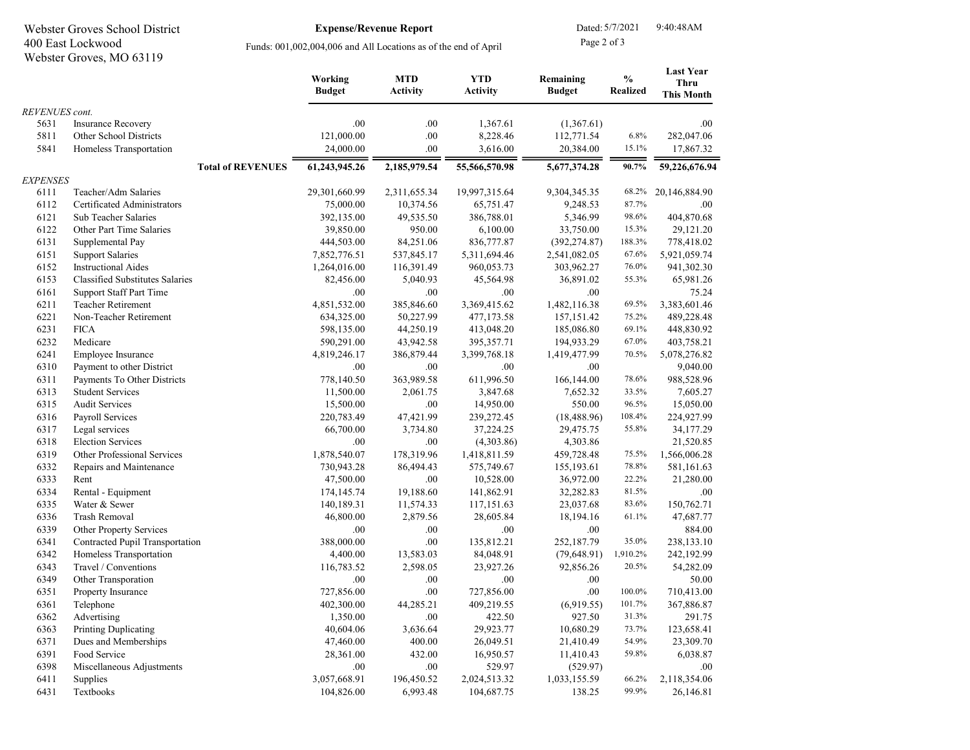| Webster Groves School District<br>400 East Lockwood<br>Webster Groves, MO 63119 |                                        |                                                                 | Dated: 5/7/2021<br>Page 2 of 3 |                               | 9:40:48AM                     |                            |                                  |                                               |
|---------------------------------------------------------------------------------|----------------------------------------|-----------------------------------------------------------------|--------------------------------|-------------------------------|-------------------------------|----------------------------|----------------------------------|-----------------------------------------------|
|                                                                                 |                                        | Funds: 001,002,004,006 and All Locations as of the end of April |                                |                               |                               |                            |                                  |                                               |
|                                                                                 |                                        |                                                                 | Working<br><b>Budget</b>       | <b>MTD</b><br><b>Activity</b> | <b>YTD</b><br><b>Activity</b> | Remaining<br><b>Budget</b> | $\frac{0}{0}$<br><b>Realized</b> | <b>Last Year</b><br>Thru<br><b>This Month</b> |
| REVENUES cont.                                                                  |                                        |                                                                 |                                |                               |                               |                            |                                  |                                               |
| 5631                                                                            | <b>Insurance Recovery</b>              |                                                                 | .00                            | .00.                          | 1,367.61                      | (1,367.61)                 |                                  | .00.                                          |
| 5811                                                                            | Other School Districts                 |                                                                 | 121,000.00                     | .00.                          | 8,228.46                      | 112,771.54                 | 6.8%                             | 282,047.06                                    |
| 5841                                                                            | Homeless Transportation                |                                                                 | 24,000.00                      | .00.                          | 3,616.00                      | 20,384.00                  | 15.1%                            | 17,867.32                                     |
|                                                                                 |                                        | <b>Total of REVENUES</b>                                        | 61,243,945.26                  | 2,185,979.54                  | 55,566,570.98                 | 5,677,374.28               | 90.7%                            | 59,226,676.94                                 |
| <b>EXPENSES</b>                                                                 |                                        |                                                                 |                                |                               |                               |                            |                                  |                                               |
| 6111                                                                            | Teacher/Adm Salaries                   |                                                                 | 29,301,660.99                  | 2,311,655.34                  | 19,997,315.64                 | 9,304,345.35               | 68.2%                            | 20,146,884.90                                 |
| 6112                                                                            | Certificated Administrators            |                                                                 | 75,000.00                      | 10,374.56                     | 65,751.47                     | 9,248.53                   | 87.7%                            | .00.                                          |
| 6121                                                                            | Sub Teacher Salaries                   |                                                                 | 392,135.00                     | 49,535.50                     | 386,788.01                    | 5,346.99                   | 98.6%                            | 404,870.68                                    |
| 6122                                                                            | Other Part Time Salaries               |                                                                 | 39,850.00                      | 950.00                        | 6,100.00                      | 33,750.00                  | 15.3%                            | 29,121.20                                     |
| 6131                                                                            | Supplemental Pay                       |                                                                 | 444,503.00                     | 84,251.06                     | 836,777.87                    | (392, 274.87)              | 188.3%                           | 778,418.02                                    |
| 6151                                                                            | <b>Support Salaries</b>                |                                                                 | 7,852,776.51                   | 537,845.17                    | 5,311,694.46                  | 2,541,082.05               | 67.6%                            | 5,921,059.74                                  |
| 6152                                                                            | <b>Instructional Aides</b>             |                                                                 | 1,264,016.00                   | 116,391.49                    | 960,053.73                    | 303,962.27                 | 76.0%                            | 941,302.30                                    |
| 6153                                                                            | <b>Classified Substitutes Salaries</b> |                                                                 | 82,456.00                      | 5,040.93                      | 45,564.98                     | 36,891.02                  | 55.3%                            | 65,981.26                                     |
| 6161                                                                            | <b>Support Staff Part Time</b>         |                                                                 | .00                            | .00                           | .00.                          | .00                        |                                  | 75.24                                         |
| 6211                                                                            | <b>Teacher Retirement</b>              |                                                                 | 4,851,532.00                   | 385,846.60                    | 3,369,415.62                  | 1,482,116.38               | 69.5%                            | 3,383,601.46                                  |
| 6221                                                                            | Non-Teacher Retirement                 |                                                                 | 634,325.00                     | 50,227.99                     | 477,173.58                    | 157, 151.42                | 75.2%                            | 489,228.48                                    |
| 6231                                                                            | <b>FICA</b>                            |                                                                 | 598,135.00                     | 44,250.19                     | 413,048.20                    | 185,086.80                 | 69.1%                            | 448,830.92                                    |
| 6232                                                                            | Medicare                               |                                                                 | 590,291.00                     | 43,942.58                     | 395, 357. 71                  | 194,933.29                 | 67.0%                            | 403,758.21                                    |
| 6241                                                                            | Employee Insurance                     |                                                                 | 4,819,246.17                   | 386,879.44                    | 3,399,768.18                  | 1,419,477.99               | 70.5%                            | 5,078,276.82                                  |
| 6310                                                                            | Payment to other District              |                                                                 | .00                            | .00                           | .00.                          | .00                        |                                  | 9,040.00                                      |
| 6311                                                                            | Payments To Other Districts            |                                                                 | 778,140.50                     | 363,989.58                    | 611,996.50                    | 166,144.00                 | 78.6%                            | 988,528.96                                    |
| 6313                                                                            | <b>Student Services</b>                |                                                                 | 11,500.00                      | 2,061.75                      | 3,847.68                      | 7,652.32                   | 33.5%                            | 7,605.27                                      |
| 6315                                                                            | <b>Audit Services</b>                  |                                                                 | 15,500.00                      | .00.                          | 14,950.00                     | 550.00                     | 96.5%                            | 15,050.00                                     |
| 6316                                                                            | Payroll Services                       |                                                                 | 220,783.49                     | 47,421.99                     | 239,272.45                    | (18, 488.96)               | 108.4%                           | 224,927.99                                    |
| 6317                                                                            | Legal services                         |                                                                 | 66,700.00                      | 3,734.80                      | 37,224.25                     | 29,475.75                  | 55.8%                            | 34,177.29                                     |
| 6318                                                                            | <b>Election Services</b>               |                                                                 | .00                            | .00                           | (4,303.86)                    | 4,303.86                   |                                  | 21,520.85                                     |
| 6319                                                                            | <b>Other Professional Services</b>     |                                                                 | 1,878,540.07                   | 178,319.96                    | 1,418,811.59                  | 459,728.48                 | 75.5%                            | 1,566,006.28                                  |
| 6332                                                                            | Repairs and Maintenance                |                                                                 | 730,943.28                     | 86,494.43                     | 575,749.67                    | 155,193.61                 | 78.8%                            | 581,161.63                                    |
| 6333                                                                            | Rent                                   |                                                                 | 47,500.00                      | .00                           | 10,528.00                     | 36,972.00                  | 22.2%                            | 21,280.00                                     |
| 6334                                                                            | Rental - Equipment                     |                                                                 | 174,145.74                     | 19,188.60                     | 141,862.91                    | 32,282.83                  | 81.5%                            | .00                                           |
| 6335                                                                            | Water & Sewer                          |                                                                 | 140,189.31                     | 11,574.33                     | 117,151.63                    | 23,037.68                  | 83.6%                            | 150,762.71                                    |
| 6336                                                                            | <b>Trash Removal</b>                   |                                                                 | 46,800.00                      | 2,879.56                      | 28,605.84                     | 18,194.16                  | 61.1%                            | 47,687.77                                     |
| 6339                                                                            | Other Property Services                |                                                                 | .00                            | .00.                          | .00                           | .00                        |                                  | 884.00                                        |
| 6341                                                                            | Contracted Pupil Transportation        |                                                                 | 388,000.00                     | .00.                          | 135,812.21                    | 252,187.79                 | 35.0%                            | 238,133.10                                    |
| 6342                                                                            | Homeless Transportation                |                                                                 | 4,400.00                       | 13,583.03                     | 84,048.91                     | (79, 648.91)               | 1,910.2%                         | 242,192.99                                    |
| 6343                                                                            | Travel / Conventions                   |                                                                 | 116,783.52                     | 2,598.05                      | 23,927.26                     | 92,856.26                  | 20.5%                            | 54,282.09                                     |
| 6349                                                                            | Other Transporation                    |                                                                 | .00                            | .00.                          | .00                           | .00.                       |                                  | 50.00                                         |
| 6351                                                                            | Property Insurance                     |                                                                 | 727,856.00                     | $.00\,$                       | 727,856.00                    | $.00\,$                    | 100.0%                           | 710,413.00                                    |
| 6361                                                                            | Telephone                              |                                                                 | 402,300.00                     | 44,285.21                     | 409,219.55                    | (6,919.55)                 | 101.7%                           | 367,886.87                                    |
| 6362                                                                            | Advertising                            |                                                                 | 1,350.00                       | .00                           | 422.50                        | 927.50                     | 31.3%                            | 291.75                                        |
| 6363                                                                            | <b>Printing Duplicating</b>            |                                                                 | 40,604.06                      | 3,636.64                      | 29,923.77                     | 10,680.29                  | 73.7%                            | 123,658.41                                    |
| 6371                                                                            | Dues and Memberships                   |                                                                 | 47,460.00                      | 400.00                        | 26,049.51                     | 21,410.49                  | 54.9%                            | 23,309.70                                     |
| 6391                                                                            | Food Service                           |                                                                 | 28,361.00                      | 432.00                        | 16,950.57                     | 11,410.43                  | 59.8%                            | 6,038.87                                      |
| 6398                                                                            | Miscellaneous Adjustments              |                                                                 | .00.                           | .00                           | 529.97                        | (529.97)                   |                                  | .00.                                          |
| 6411                                                                            | Supplies                               |                                                                 | 3,057,668.91                   | 196,450.52                    | 2,024,513.32                  | 1,033,155.59               | 66.2%                            | 2,118,354.06                                  |
| 6431                                                                            | Textbooks                              |                                                                 | 104,826.00                     | 6,993.48                      | 104,687.75                    | 138.25                     | 99.9%                            | 26,146.81                                     |